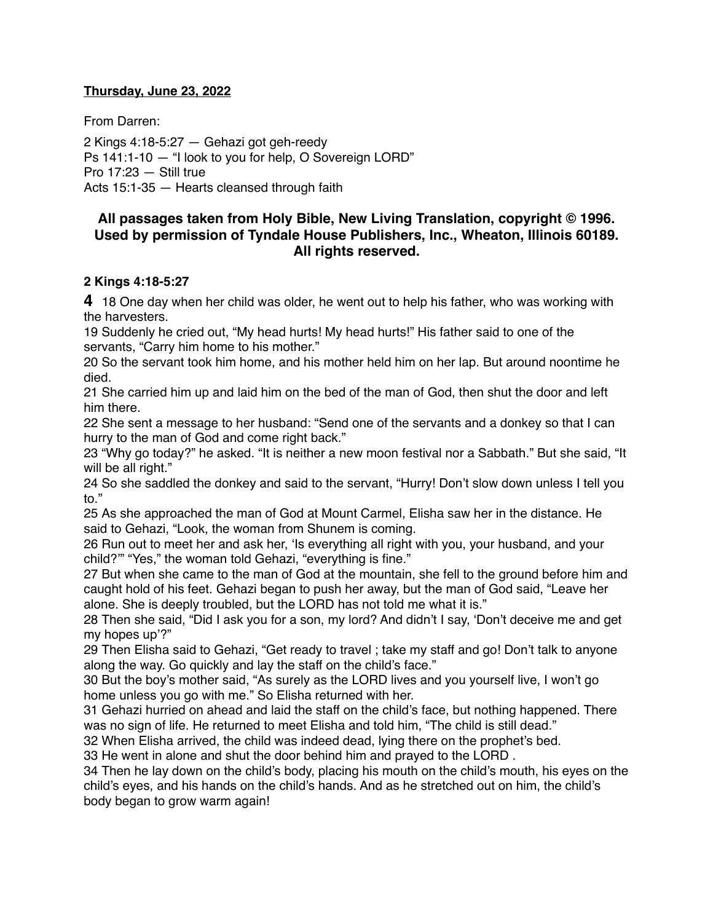#### **Thursday, June 23, 2022**

From Darren:

2 Kings 4:18-5:27 — Gehazi got geh-reedy Ps 141:1-10 — "I look to you for help, O Sovereign LORD" Pro 17:23 — Still true Acts 15:1-35 — Hearts cleansed through faith

## **All passages taken from Holy Bible, [New Living Translation](http://www.newlivingtranslation.com/), copyright © 1996. Used by permission of [Tyndale House Publishers](http://tyndale.com/), Inc., Wheaton, Illinois 60189. All rights reserved.**

#### **2 Kings 4:18-5:27**

**4** 18 One day when her child was older, he went out to help his father, who was working with the harvesters.

19 Suddenly he cried out, "My head hurts! My head hurts!" His father said to one of the servants, "Carry him home to his mother."

20 So the servant took him home, and his mother held him on her lap. But around noontime he died.

21 She carried him up and laid him on the bed of the man of God, then shut the door and left him there.

22 She sent a message to her husband: "Send one of the servants and a donkey so that I can hurry to the man of God and come right back."

23 "Why go today?" he asked. "It is neither a new moon festival nor a Sabbath." But she said, "It will be all right."

24 So she saddled the donkey and said to the servant, "Hurry! Don't slow down unless I tell you to."

25 As she approached the man of God at Mount Carmel, Elisha saw her in the distance. He said to Gehazi, "Look, the woman from Shunem is coming.

26 Run out to meet her and ask her, 'Is everything all right with you, your husband, and your child?'" "Yes," the woman told Gehazi, "everything is fine."

27 But when she came to the man of God at the mountain, she fell to the ground before him and caught hold of his feet. Gehazi began to push her away, but the man of God said, "Leave her alone. She is deeply troubled, but the LORD has not told me what it is."

28 Then she said, "Did I ask you for a son, my lord? And didn't I say, 'Don't deceive me and get my hopes up'?"

29 Then Elisha said to Gehazi, "Get ready to travel ; take my staff and go! Don't talk to anyone along the way. Go quickly and lay the staff on the child's face."

30 But the boy's mother said, "As surely as the LORD lives and you yourself live, I won't go home unless you go with me." So Elisha returned with her.

31 Gehazi hurried on ahead and laid the staff on the child's face, but nothing happened. There was no sign of life. He returned to meet Elisha and told him, "The child is still dead."

32 When Elisha arrived, the child was indeed dead, lying there on the prophet's bed.

33 He went in alone and shut the door behind him and prayed to the LORD .

34 Then he lay down on the child's body, placing his mouth on the child's mouth, his eyes on the child's eyes, and his hands on the child's hands. And as he stretched out on him, the child's body began to grow warm again!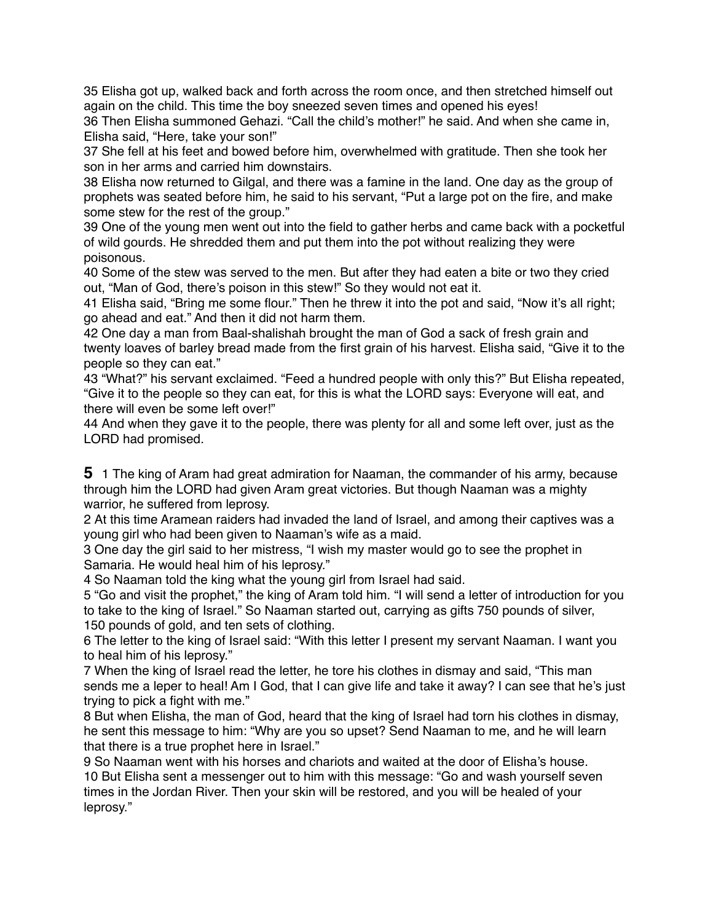35 Elisha got up, walked back and forth across the room once, and then stretched himself out again on the child. This time the boy sneezed seven times and opened his eyes!

36 Then Elisha summoned Gehazi. "Call the child's mother!" he said. And when she came in, Elisha said, "Here, take your son!"

37 She fell at his feet and bowed before him, overwhelmed with gratitude. Then she took her son in her arms and carried him downstairs.

38 Elisha now returned to Gilgal, and there was a famine in the land. One day as the group of prophets was seated before him, he said to his servant, "Put a large pot on the fire, and make some stew for the rest of the group."

39 One of the young men went out into the field to gather herbs and came back with a pocketful of wild gourds. He shredded them and put them into the pot without realizing they were poisonous.

40 Some of the stew was served to the men. But after they had eaten a bite or two they cried out, "Man of God, there's poison in this stew!" So they would not eat it.

41 Elisha said, "Bring me some flour." Then he threw it into the pot and said, "Now it's all right; go ahead and eat." And then it did not harm them.

42 One day a man from Baal-shalishah brought the man of God a sack of fresh grain and twenty loaves of barley bread made from the first grain of his harvest. Elisha said, "Give it to the people so they can eat."

43 "What?" his servant exclaimed. "Feed a hundred people with only this?" But Elisha repeated, "Give it to the people so they can eat, for this is what the LORD says: Everyone will eat, and there will even be some left over!"

44 And when they gave it to the people, there was plenty for all and some left over, just as the LORD had promised.

**5** 1 The king of Aram had great admiration for Naaman, the commander of his army, because through him the LORD had given Aram great victories. But though Naaman was a mighty warrior, he suffered from leprosy.

2 At this time Aramean raiders had invaded the land of Israel, and among their captives was a young girl who had been given to Naaman's wife as a maid.

3 One day the girl said to her mistress, "I wish my master would go to see the prophet in Samaria. He would heal him of his leprosy."

4 So Naaman told the king what the young girl from Israel had said.

5 "Go and visit the prophet," the king of Aram told him. "I will send a letter of introduction for you to take to the king of Israel." So Naaman started out, carrying as gifts 750 pounds of silver, 150 pounds of gold, and ten sets of clothing.

6 The letter to the king of Israel said: "With this letter I present my servant Naaman. I want you to heal him of his leprosy."

7 When the king of Israel read the letter, he tore his clothes in dismay and said, "This man sends me a leper to heal! Am I God, that I can give life and take it away? I can see that he's just trying to pick a fight with me."

8 But when Elisha, the man of God, heard that the king of Israel had torn his clothes in dismay, he sent this message to him: "Why are you so upset? Send Naaman to me, and he will learn that there is a true prophet here in Israel."

9 So Naaman went with his horses and chariots and waited at the door of Elisha's house. 10 But Elisha sent a messenger out to him with this message: "Go and wash yourself seven times in the Jordan River. Then your skin will be restored, and you will be healed of your leprosy."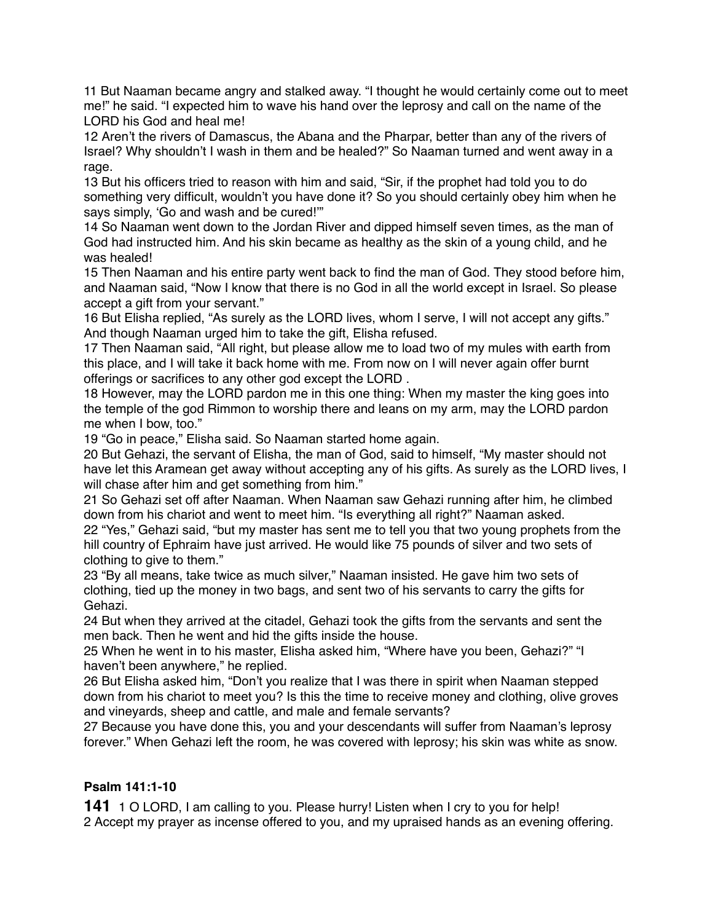11 But Naaman became angry and stalked away. "I thought he would certainly come out to meet me!" he said. "I expected him to wave his hand over the leprosy and call on the name of the LORD his God and heal me!

12 Aren't the rivers of Damascus, the Abana and the Pharpar, better than any of the rivers of Israel? Why shouldn't I wash in them and be healed?" So Naaman turned and went away in a rage.

13 But his officers tried to reason with him and said, "Sir, if the prophet had told you to do something very difficult, wouldn't you have done it? So you should certainly obey him when he says simply, 'Go and wash and be cured!'"

14 So Naaman went down to the Jordan River and dipped himself seven times, as the man of God had instructed him. And his skin became as healthy as the skin of a young child, and he was healed!

15 Then Naaman and his entire party went back to find the man of God. They stood before him, and Naaman said, "Now I know that there is no God in all the world except in Israel. So please accept a gift from your servant."

16 But Elisha replied, "As surely as the LORD lives, whom I serve, I will not accept any gifts." And though Naaman urged him to take the gift, Elisha refused.

17 Then Naaman said, "All right, but please allow me to load two of my mules with earth from this place, and I will take it back home with me. From now on I will never again offer burnt offerings or sacrifices to any other god except the LORD .

18 However, may the LORD pardon me in this one thing: When my master the king goes into the temple of the god Rimmon to worship there and leans on my arm, may the LORD pardon me when I bow, too."

19 "Go in peace," Elisha said. So Naaman started home again.

20 But Gehazi, the servant of Elisha, the man of God, said to himself, "My master should not have let this Aramean get away without accepting any of his gifts. As surely as the LORD lives, I will chase after him and get something from him."

21 So Gehazi set off after Naaman. When Naaman saw Gehazi running after him, he climbed down from his chariot and went to meet him. "Is everything all right?" Naaman asked.

22 "Yes," Gehazi said, "but my master has sent me to tell you that two young prophets from the hill country of Ephraim have just arrived. He would like 75 pounds of silver and two sets of clothing to give to them."

23 "By all means, take twice as much silver," Naaman insisted. He gave him two sets of clothing, tied up the money in two bags, and sent two of his servants to carry the gifts for Gehazi.

24 But when they arrived at the citadel, Gehazi took the gifts from the servants and sent the men back. Then he went and hid the gifts inside the house.

25 When he went in to his master, Elisha asked him, "Where have you been, Gehazi?" "I haven't been anywhere," he replied.

26 But Elisha asked him, "Don't you realize that I was there in spirit when Naaman stepped down from his chariot to meet you? Is this the time to receive money and clothing, olive groves and vineyards, sheep and cattle, and male and female servants?

27 Because you have done this, you and your descendants will suffer from Naaman's leprosy forever." When Gehazi left the room, he was covered with leprosy; his skin was white as snow.

## **Psalm 141:1-10**

**141** 1 O LORD, I am calling to you. Please hurry! Listen when I cry to you for help! 2 Accept my prayer as incense offered to you, and my upraised hands as an evening offering.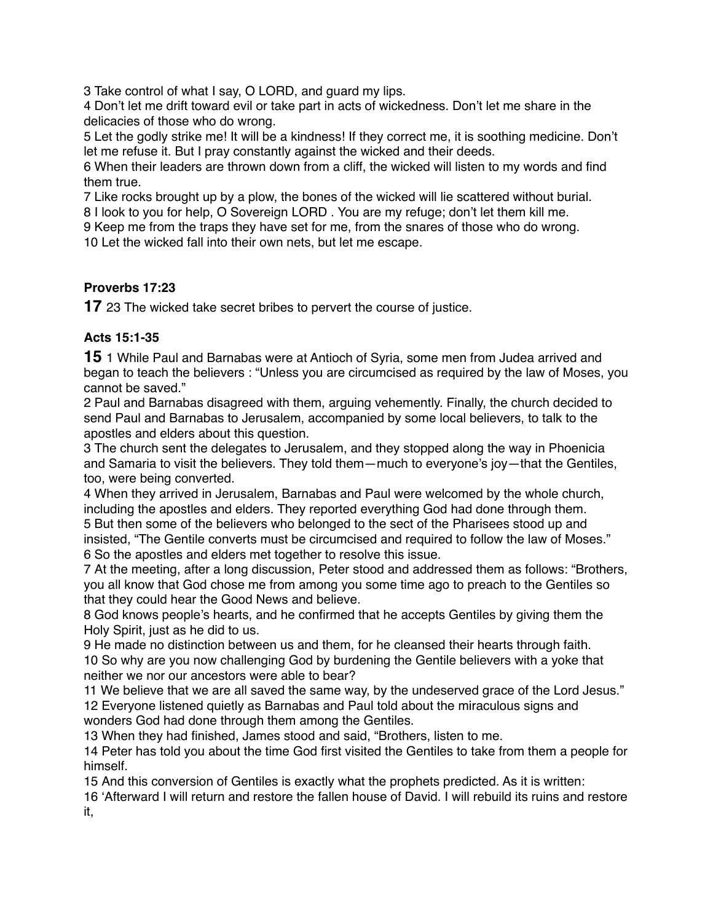3 Take control of what I say, O LORD, and guard my lips.

4 Don't let me drift toward evil or take part in acts of wickedness. Don't let me share in the delicacies of those who do wrong.

5 Let the godly strike me! It will be a kindness! If they correct me, it is soothing medicine. Don't let me refuse it. But I pray constantly against the wicked and their deeds.

6 When their leaders are thrown down from a cliff, the wicked will listen to my words and find them true.

7 Like rocks brought up by a plow, the bones of the wicked will lie scattered without burial.

8 I look to you for help, O Sovereign LORD . You are my refuge; don't let them kill me.

9 Keep me from the traps they have set for me, from the snares of those who do wrong. 10 Let the wicked fall into their own nets, but let me escape.

# **Proverbs 17:23**

**17** 23 The wicked take secret bribes to pervert the course of justice.

## **Acts 15:1-35**

**15** 1 While Paul and Barnabas were at Antioch of Syria, some men from Judea arrived and began to teach the believers : "Unless you are circumcised as required by the law of Moses, you cannot be saved."

2 Paul and Barnabas disagreed with them, arguing vehemently. Finally, the church decided to send Paul and Barnabas to Jerusalem, accompanied by some local believers, to talk to the apostles and elders about this question.

3 The church sent the delegates to Jerusalem, and they stopped along the way in Phoenicia and Samaria to visit the believers. They told them—much to everyone's joy—that the Gentiles, too, were being converted.

4 When they arrived in Jerusalem, Barnabas and Paul were welcomed by the whole church, including the apostles and elders. They reported everything God had done through them. 5 But then some of the believers who belonged to the sect of the Pharisees stood up and insisted, "The Gentile converts must be circumcised and required to follow the law of Moses." 6 So the apostles and elders met together to resolve this issue.

7 At the meeting, after a long discussion, Peter stood and addressed them as follows: "Brothers, you all know that God chose me from among you some time ago to preach to the Gentiles so that they could hear the Good News and believe.

8 God knows people's hearts, and he confirmed that he accepts Gentiles by giving them the Holy Spirit, just as he did to us.

9 He made no distinction between us and them, for he cleansed their hearts through faith. 10 So why are you now challenging God by burdening the Gentile believers with a yoke that neither we nor our ancestors were able to bear?

11 We believe that we are all saved the same way, by the undeserved grace of the Lord Jesus." 12 Everyone listened quietly as Barnabas and Paul told about the miraculous signs and wonders God had done through them among the Gentiles.

13 When they had finished, James stood and said, "Brothers, listen to me.

14 Peter has told you about the time God first visited the Gentiles to take from them a people for himself.

15 And this conversion of Gentiles is exactly what the prophets predicted. As it is written:

16 'Afterward I will return and restore the fallen house of David. I will rebuild its ruins and restore it,